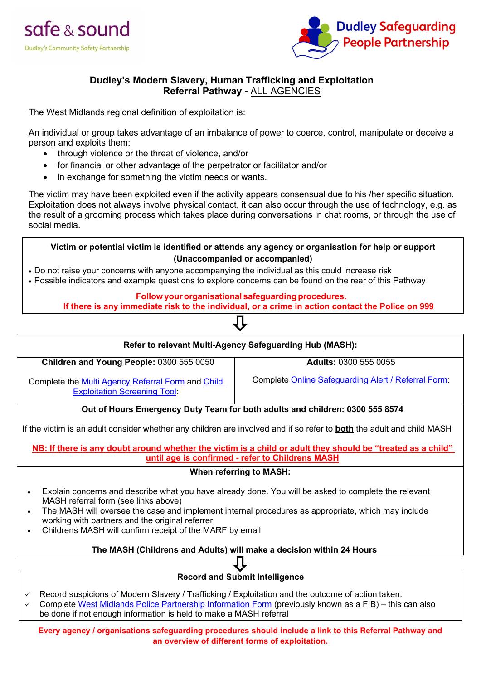



## **Dudley's Modern Slavery, Human Trafficking and Exploitation Referral Pathway -** ALL AGENCIES

The West Midlands regional definition of exploitation is:

An individual or group takes advantage of an imbalance of power to coerce, control, manipulate or deceive a person and exploits them:

- through violence or the threat of violence, and/or
- for financial or other advantage of the perpetrator or facilitator and/or
- in exchange for something the victim needs or wants.

The victim may have been exploited even if the activity appears consensual due to his /her specific situation. Exploitation does not always involve physical contact, it can also occur through the use of technology, e.g. as the result of a grooming process which takes place during conversations in chat rooms, or through the use of social media.

**Victim or potential victim is identified or attends any agency or organisation for help or support (Unaccompanied or accompanied)** 

• Do not raise your concerns with anyone accompanying the individual as this could increase risk

• Possible indicators and example questions to explore concerns can be found on the rear of this Pathway

#### **Follow your organisational safeguarding procedures.**

**If there is any immediate risk to the individual, or a crime in action contact the Police on 999**

# **Refer to relevant Multi-Agency Safeguarding Hub (MASH): Children and Young People:** 0300 555 0050 Complete the [Multi Agency Referral Form](https://safeguarding.dudley.gov.uk/media/13019/dudley-marf-september-2019.docx) and Child [Exploitation Screening Tool:](https://safeguarding.dudley.gov.uk/media/18083/child-exploitation-screening-tool.docx) **Adults:** 0300 555 0055 Complete [Online Safeguarding Alert / Referral Form:](https://customer.dudley.gov.uk/adult-safeguarding/adult-safeguarding-professional-create/) **Out of Hours Emergency Duty Team for both adults and children: 0300 555 8574** If the victim is an adult consider whether any children are involved and if so refer to **both** the adult and child MASH **NB: If there is any doubt around whether the victim is a child or adult they should be "treated as a child" until age is confirmed - refer to Childrens MASH When referring to MASH:**  • Explain concerns and describe what you have already done. You will be asked to complete the relevant MASH referral form (see links above) • The MASH will oversee the case and implement internal procedures as appropriate, which may include working with partners and the original referrer • Childrens MASH will confirm receipt of the MARF by email **The MASH (Childrens and Adults) will make a decision within 24 Hours**

## **Record and Submit Intelligence**

- Record suspicions of Modern Slavery / Trafficking / Exploitation and the outcome of action taken.
- Complete [West Midlands Police Partnership Information](https://f4ee4ad4-25ad-4fdd-bb91-2e04fa9d33b3.filesusr.com/ugd/f5e475_d1be5a12e2fa4bdf95061dba81921323.doc?dn=WG403%20Partnership%20Information%20report%20(1).doc) Form (previously known as a FIB) this can also be done if not enough information is held to make a MASH referral

**Every agency / organisations safeguarding procedures should include a link to this Referral Pathway and an overview of different forms of exploitation.**